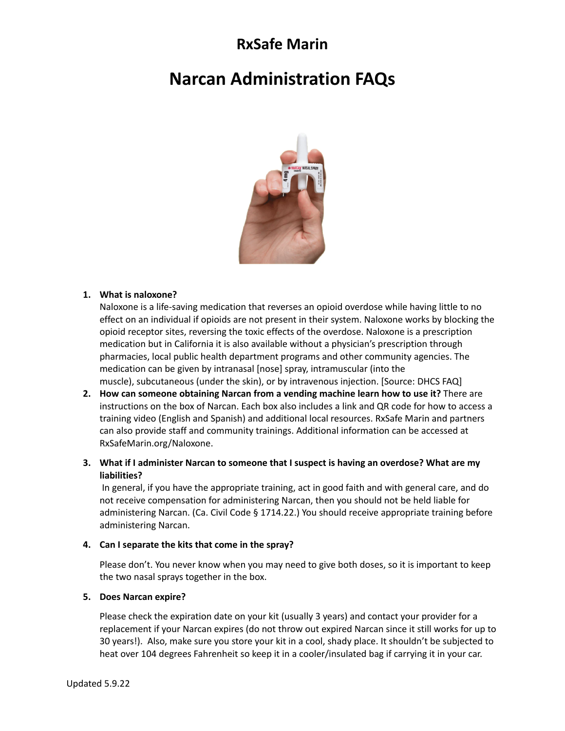# **RxSafe Marin**

# **Narcan Administration FAQs**



#### **1. What is naloxone?**

Naloxone is a life-saving medication that reverses an opioid overdose while having little to no effect on an individual if opioids are not present in their system. Naloxone works by blocking the opioid receptor sites, reversing the toxic effects of the overdose. Naloxone is a prescription medication but in California it is also available without a physician's prescription through pharmacies, local public health department programs and other community agencies. The medication can be given by intranasal [nose] spray, intramuscular (into the muscle), subcutaneous (under the skin), or by intravenous injection. [Source: DHCS FAQ]

- **2. How can someone obtaining Narcan from a vending machine learn how to use it?** There are instructions on the box of Narcan. Each box also includes a link and QR code for how to access a training video (English and Spanish) and additional local resources. RxSafe Marin and partners can also provide staff and community trainings. Additional information can be accessed at RxSafeMarin.org/Naloxone.
- **3. What if I administer Narcan to someone that I suspect is having an overdose? What are my liabilities?**

In general, if you have the appropriate training, act in good faith and with general care, and do not receive compensation for administering Narcan, then you should not be held liable for administering Narcan. (Ca. Civil Code § 1714.22.) You should receive appropriate training before administering Narcan.

#### **4. Can I separate the kits that come in the spray?**

Please don't. You never know when you may need to give both doses, so it is important to keep the two nasal sprays together in the box.

#### **5. Does Narcan expire?**

Please check the expiration date on your kit (usually 3 years) and contact your provider for a replacement if your Narcan expires (do not throw out expired Narcan since it still works for up to 30 years!). Also, make sure you store your kit in a cool, shady place. It shouldn't be subjected to heat over 104 degrees Fahrenheit so keep it in a cooler/insulated bag if carrying it in your car.